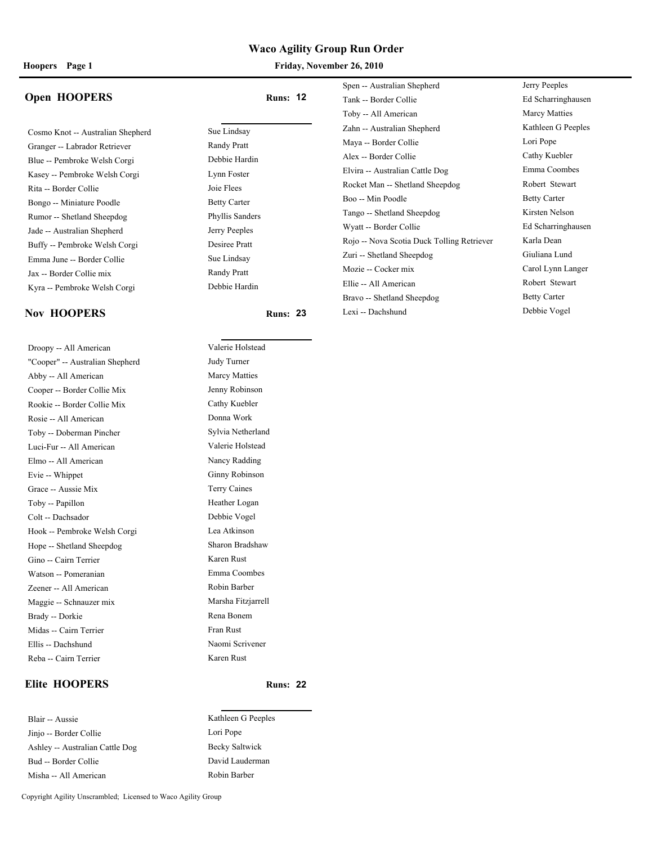### **Open HOOPERS Runs:** 12

Cosmo Knot -- Australian Shepherd Sue Lindsay Granger -- Labrador Retriever Randy Pratt Blue -- Pembroke Welsh Corgi Debbie Hardin Kasey -- Pembroke Welsh Corgi Lynn Foster Rita -- Border Collie Joie Flees Bongo -- Miniature Poodle Betty Carter Rumor -- Shetland Sheepdog Phyllis Sanders Jade -- Australian Shepherd Jerry Peeples Buffy -- Pembroke Welsh Corgi Desiree Pratt Emma June -- Border Collie Sue Lindsay Jax -- Border Collie mix Randy Pratt Kyra -- Pembroke Welsh Corgi Debbie Hardin

### **Nov HOOPERS Runs:** 23 **Runs:** 23

Droopy -- All American Valerie Holstead "Cooper" -- Australian Shepherd Judy Turner Abby -- All American Marcy Matties Cooper -- Border Collie Mix Jenny Robinson Rookie -- Border Collie Mix Cathy Kuebler Rosie -- All American Donna Work Toby -- Doberman Pincher Sylvia Netherland Luci-Fur -- All American Valerie Holstead Elmo -- All American Nancy Radding Evie -- Whippet Ginny Robinson Grace -- Aussie Mix Terry Caines Toby -- Papillon Heather Logan Colt -- Dachsador Debbie Vogel Hook -- Pembroke Welsh Corgi Lea Atkinson Hope -- Shetland Sheepdog Sharon Bradshaw Gino -- Cairn Terrier Karen Rust Watson -- Pomeranian Emma Coombes Zeener -- All American Robin Barber Maggie -- Schnauzer mix Marsha Fitzjarrell Brady -- Dorkie Rena Bonem Midas -- Cairn Terrier Fran Rust Ellis -- Dachshund Naomi Scrivener Reba -- Cairn Terrier Karen Rust

### **Elite HOOPERS Runs: 22**

Blair -- Aussie Kathleen G Peeples Jinjo -- Border Collie Lori Pope Ashley -- Australian Cattle Dog Becky Saltwick Bud -- Border Collie David Lauderman Misha -- All American Robin Barber

| Spen -- Australian Shepherd                | Jerry Peeples        |
|--------------------------------------------|----------------------|
| Tank -- Border Collie                      | Ed Scharringhausen   |
| Toby -- All American                       | <b>Marcy Matties</b> |
| Zahn -- Australian Shepherd                | Kathleen G Peeples   |
| Maya -- Border Collie                      | Lori Pope            |
| Alex -- Border Collie                      | Cathy Kuebler        |
| Elvira -- Australian Cattle Dog            | Emma Coombes         |
| Rocket Man -- Shetland Sheepdog            | Robert Stewart       |
| Boo -- Min Poodle                          | <b>Betty Carter</b>  |
| Tango -- Shetland Sheepdog                 | Kirsten Nelson       |
| Wyatt -- Border Collie                     | Ed Scharringhausen   |
| Rojo -- Nova Scotia Duck Tolling Retriever | Karla Dean           |
| Zuri -- Shetland Sheepdog                  | Giuliana Lund        |
| Mozie -- Cocker mix                        | Carol Lynn Langer    |
| Ellie -- All American                      | Robert Stewart       |
| Bravo -- Shetland Sheepdog                 | <b>Betty Carter</b>  |
| Lexi -- Dachshund                          | Debbie Vogel         |
|                                            |                      |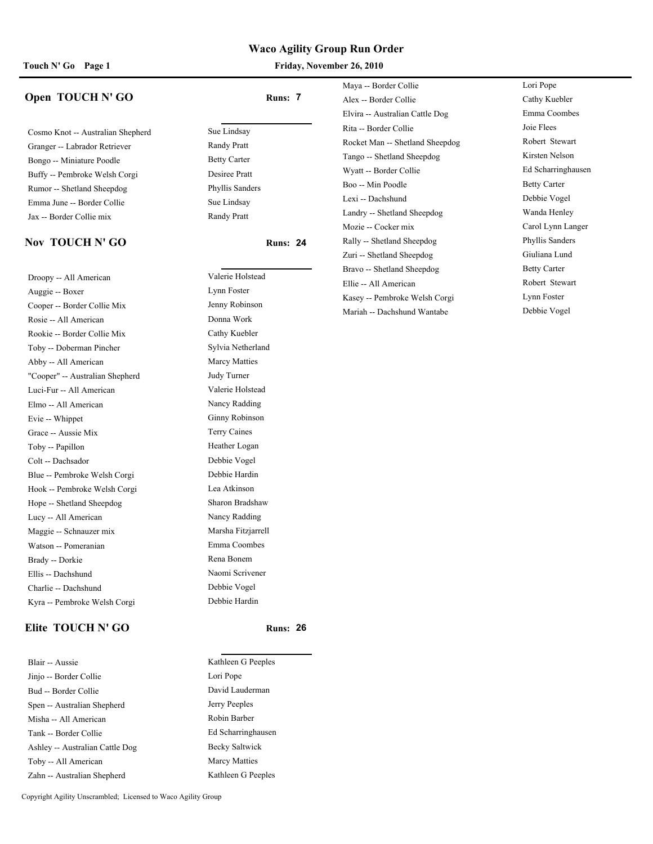Touch N' Go Page 1 **Friday, November 26, 2010** 

### **Open TOUCH N' GO Runs: 7**

Cosmo Knot -- Australian Shepherd Sue Lindsay Granger -- Labrador Retriever Randy Pratt Bongo -- Miniature Poodle Betty Carter Buffy -- Pembroke Welsh Corgi Desiree Pratt Rumor -- Shetland Sheepdog Phyllis Sanders Emma June -- Border Collie Sue Lindsay Jax -- Border Collie mix Randy Pratt

#### **Nov TOUCH N' GO Runs:** 24

Droopy -- All American Valerie Holstead Auggie -- Boxer Lynn Foster Cooper -- Border Collie Mix Jenny Robinson Rosie -- All American Donna Work Rookie -- Border Collie Mix Cathy Kuebler Toby -- Doberman Pincher Sylvia Netherland Abby -- All American Marcy Matties "Cooper" -- Australian Shepherd Judy Turner Luci-Fur -- All American Valerie Holstead Elmo -- All American Nancy Radding Evie -- Whippet Ginny Robinson Grace -- Aussie Mix Terry Caines Toby -- Papillon Heather Logan Colt -- Dachsador Debbie Vogel Blue -- Pembroke Welsh Corgi Debbie Hardin Hook -- Pembroke Welsh Corgi Lea Atkinson Hope -- Shetland Sheepdog Sharon Bradshaw Lucy -- All American Nancy Radding Maggie -- Schnauzer mix Marsha Fitzjarrell Watson -- Pomeranian Emma Coombes Brady -- Dorkie Rena Bonem Ellis -- Dachshund Naomi Scrivener Charlie -- Dachshund Debbie Vogel Kyra -- Pembroke Welsh Corgi Debbie Hardin

### **Elite TOUCH N' GO Runs:** 26

| Blair -- Aussie                 |
|---------------------------------|
| Jinjo -- Border Collie          |
| Bud -- Border Collie            |
| Spen -- Australian Shepherd     |
| Misha -- All American           |
| Tank -- Border Collie           |
| Ashley -- Australian Cattle Dog |
| Toby -- All American            |
| Zahn -- Australian Shenherd     |

Kathleen G Peeples

Lori Pope David Lauderman Jerry Peeples Robin Barber Ed Scharringhausen Becky Saltwick Marcy Matties Kathleen G Peeples Maya -- Border Collie Lori Pope Alex -- Border Collie Cathy Kuebler Elvira -- Australian Cattle Dog Emma Coombes Rita -- Border Collie Joie Flees Rocket Man -- Shetland Sheepdog Robert Stewart Tango -- Shetland Sheepdog Kirsten Nelson Wyatt -- Border Collie Ed Scharringhausen Boo -- Min Poodle Betty Carter Lexi -- Dachshund Debbie Vogel Landry -- Shetland Sheepdog Wanda Henley Mozie -- Cocker mix Carol Lynn Langer Rally -- Shetland Sheepdog Phyllis Sanders Zuri -- Shetland Sheepdog Giuliana Lund Bravo -- Shetland Sheepdog Betty Carter Ellie -- All American Robert Stewart Kasey -- Pembroke Welsh Corgi Lynn Foster Mariah -- Dachshund Wantabe Debbie Vogel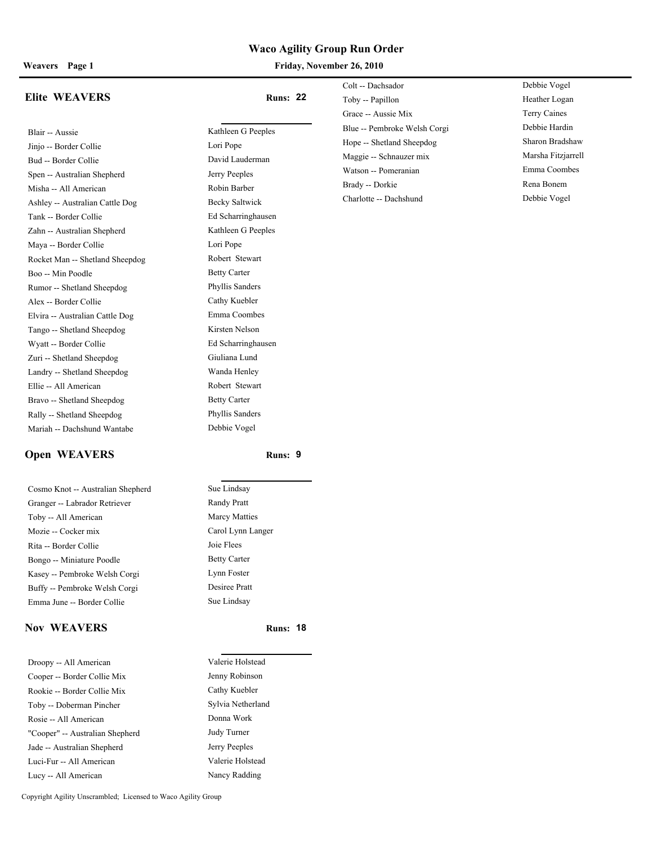**Weavers Page 1 Friday, November 26, 2010**

|                                 |                     | COIL -- Dachsagor  |  |
|---------------------------------|---------------------|--------------------|--|
| Elite WEAVERS                   | <b>Runs: 22</b>     | Toby -- Papillon   |  |
|                                 |                     | Grace -- Aussie M  |  |
| Blair -- Aussie                 | Kathleen G Peeples  | Blue -- Pembroke   |  |
| Jinjo -- Border Collie          | Lori Pope           | Hope -- Shetland 9 |  |
| Bud -- Border Collie            | David Lauderman     | Maggie -- Schnau:  |  |
| Spen -- Australian Shepherd     | Jerry Peeples       | Watson -- Pomera   |  |
| Misha -- All American           | Robin Barber        | Brady -- Dorkie    |  |
| Ashley -- Australian Cattle Dog | Becky Saltwick      | Charlotte -- Dachs |  |
| Tank -- Border Collie           | Ed Scharringhausen  |                    |  |
| Zahn -- Australian Shepherd     | Kathleen G Peeples  |                    |  |
| Maya -- Border Collie           | Lori Pope           |                    |  |
| Rocket Man -- Shetland Sheepdog | Robert Stewart      |                    |  |
| Boo -- Min Poodle               | <b>Betty Carter</b> |                    |  |
| Rumor -- Shetland Sheepdog      | Phyllis Sanders     |                    |  |
| Alex -- Border Collie           | Cathy Kuebler       |                    |  |

Elvira -- Australian Cattle Dog Emma Coombes Tango -- Shetland Sheepdog Kirsten Nelson Wyatt -- Border Collie Ed Scharringhausen Zuri -- Shetland Sheepdog Giuliana Lund Landry -- Shetland Sheepdog Wanda Henley Ellie -- All American Robert Stewart Bravo -- Shetland Sheepdog Betty Carter Rally -- Shetland Sheepdog Phyllis Sanders Mariah -- Dachshund Wantabe Debbie Vogel

| Colt -- Dachsador            | Debbie Vogel       |
|------------------------------|--------------------|
| Toby -- Papillon             | Heather Logan      |
| Grace -- Aussie Mix          | Terry Caines       |
| Blue -- Pembroke Welsh Corgi | Debbie Hardin      |
| Hope -- Shetland Sheepdog    | Sharon Bradshaw    |
| Maggie -- Schnauzer mix      | Marsha Fitzjarrell |
| Watson -- Pomeranian         | Emma Coombes       |
| Brady -- Dorkie              | Rena Bonem         |
| Charlotte -- Dachshund       | Debbie Vogel       |

#### **Open WEAVERS** Runs: 9

Cosmo Knot -- Australian Shepherd Sue Lindsay Granger -- Labrador Retriever Randy Pratt Toby -- All American Marcy Matties Mozie -- Cocker mix Carol Lynn Langer Rita -- Border Collie Joie Flees Bongo -- Miniature Poodle Betty Carter Kasey -- Pembroke Welsh Corgi Lynn Foster Buffy -- Pembroke Welsh Corgi Desiree Pratt Emma June -- Border Collie Sue Lindsay

#### **Nov WEAVERS Runs:** 18

| Droopy -- All American          | Valerie Holstead  |
|---------------------------------|-------------------|
| Cooper -- Border Collie Mix     | Jenny Robinson    |
| Rookie -- Border Collie Mix     | Cathy Kuebler     |
| Toby -- Doberman Pincher        | Sylvia Netherland |
| Rosie -- All American           | Donna Work        |
| "Cooper" -- Australian Shepherd | Judy Turner       |
| Jade -- Australian Shepherd     | Jerry Peeples     |
| Luci-Fur -- All American        | Valerie Holstead  |
| Lucy -- All American            | Nancy Radding     |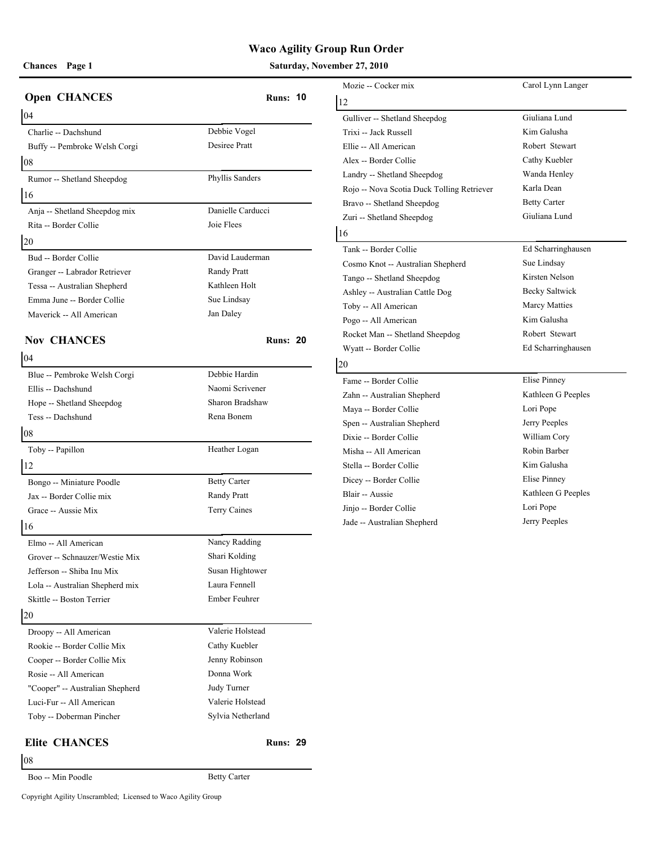### **Chances** Page 1 **Saturday, November 27, 2010 Saturday, November 27, 2010**

|                                 |                     | Mozie -- Cocker n   |
|---------------------------------|---------------------|---------------------|
| <b>Open CHANCES</b>             | <b>Runs: 10</b>     | 12                  |
| 04                              |                     | Gulliver -- Shetlar |
| Charlie -- Dachshund            | Debbie Vogel        | Trixi -- Jack Russo |
| Buffy -- Pembroke Welsh Corgi   | Desiree Pratt       | Ellie -- All Amerie |
| 08                              |                     | Alex -- Border Co   |
| Rumor -- Shetland Sheepdog      | Phyllis Sanders     | Landry -- Shetland  |
| 16                              |                     | Rojo -- Nova Scot   |
| Anja -- Shetland Sheepdog mix   | Danielle Carducci   | Bravo -- Shetland   |
| Rita -- Border Collie           | Joie Flees          | Zuri -- Shetland S  |
| 20                              |                     | 16                  |
| Bud -- Border Collie            | David Lauderman     | Tank -- Border Co   |
| Granger -- Labrador Retriever   | Randy Pratt         | Cosmo Knot -- Au    |
| Tessa -- Australian Shepherd    | Kathleen Holt       | Tango -- Shetland   |
| Emma June -- Border Collie      | Sue Lindsay         | Ashley -- Australi  |
| Maverick -- All American        | Jan Daley           | Toby -- All Ameri   |
|                                 |                     | Pogo -- All Ameri   |
| <b>Nov CHANCES</b>              | <b>Runs: 20</b>     | Rocket Man -- Sho   |
| 04                              |                     | Wyatt -- Border C   |
| Blue -- Pembroke Welsh Corgi    | Debbie Hardin       | 20                  |
| Ellis -- Dachshund              | Naomi Scrivener     | Fame -- Border Co   |
| Hope -- Shetland Sheepdog       | Sharon Bradshaw     | Zahn -- Australian  |
| Tess -- Dachshund               | Rena Bonem          | Maya -- Border Co   |
| 08                              |                     | Spen -- Australian  |
|                                 |                     | Dixie -- Border Co  |
| Toby -- Papillon                | Heather Logan       | Misha -- All Amer   |
| 12                              |                     | Stella -- Border Co |
| Bongo -- Miniature Poodle       | <b>Betty Carter</b> | Dicey -- Border C   |
| Jax -- Border Collie mix        | Randy Pratt         | Blair -- Aussie     |
| Grace -- Aussie Mix             | Terry Caines        | Jinjo -- Border Co  |
| 16                              |                     | Jade -- Australian  |
| Elmo -- All American            | Nancy Radding       |                     |
| Grover -- Schnauzer/Westie Mix  | Shari Kolding       |                     |
| Jefferson -- Shiba Inu Mix      | Susan Hightower     |                     |
| Lola -- Australian Shepherd mix | Laura Fennell       |                     |
| Skittle -- Boston Terrier       | Ember Feuhrer       |                     |
| 20                              |                     |                     |
| Droopy -- All American          | Valerie Holstead    |                     |
| Rookie -- Border Collie Mix     | Cathy Kuebler       |                     |
| Cooper -- Border Collie Mix     | Jenny Robinson      |                     |
| Rosie -- All American           | Donna Work          |                     |
| "Cooper" -- Australian Shepherd | Judy Turner         |                     |
| Luci-Fur -- All American        | Valerie Holstead    |                     |
| Toby -- Doberman Pincher        | Sylvia Netherland   |                     |
| <b>Elite CHANCES</b>            | <b>Runs: 29</b>     |                     |
| 08                              |                     |                     |
|                                 |                     |                     |

| Mozie -- Cocker mix                        | Carol Lynn Langer    |
|--------------------------------------------|----------------------|
| 12                                         |                      |
| Gulliver -- Shetland Sheepdog              | Giuliana Lund        |
| Trixi -- Jack Russell                      | Kim Galusha          |
| Ellie -- All American                      | Robert Stewart       |
| Alex -- Border Collie                      | Cathy Kuebler        |
| Landry -- Shetland Sheepdog                | Wanda Henley         |
| Rojo -- Nova Scotia Duck Tolling Retriever | Karla Dean           |
| Bravo -- Shetland Sheepdog                 | <b>Betty Carter</b>  |
| Zuri -- Shetland Sheepdog                  | Giuliana Lund        |
| 16                                         |                      |
| Tank -- Border Collie                      | Ed Scharringhausen   |
| Cosmo Knot -- Australian Shepherd          | Sue Lindsay          |
| Tango -- Shetland Sheepdog                 | Kirsten Nelson       |
| Ashley -- Australian Cattle Dog            | Becky Saltwick       |
| Toby -- All American                       | <b>Marcy Matties</b> |
| Pogo -- All American                       | Kim Galusha          |
| Rocket Man -- Shetland Sheepdog            | Robert Stewart       |
| Wyatt -- Border Collie                     | Ed Scharringhausen   |
| 20                                         |                      |
| Fame -- Border Collie                      | Elise Pinney         |
| Zahn -- Australian Shepherd                | Kathleen G Peeples   |
| Maya -- Border Collie                      | Lori Pope            |
| Spen -- Australian Shepherd                | Jerry Peeples        |
| Dixie -- Border Collie                     | William Cory         |
| Misha -- All American                      | Robin Barber         |
| Stella -- Border Collie                    | Kim Galusha          |
| Dicey -- Border Collie                     | Elise Pinney         |
| Blair -- Aussie                            | Kathleen G Peeples   |
| Jinjo -- Border Collie                     | Lori Pope            |
| Jade -- Australian Shepherd                | Jerry Peeples        |

Boo -- Min Poodle Betty Carter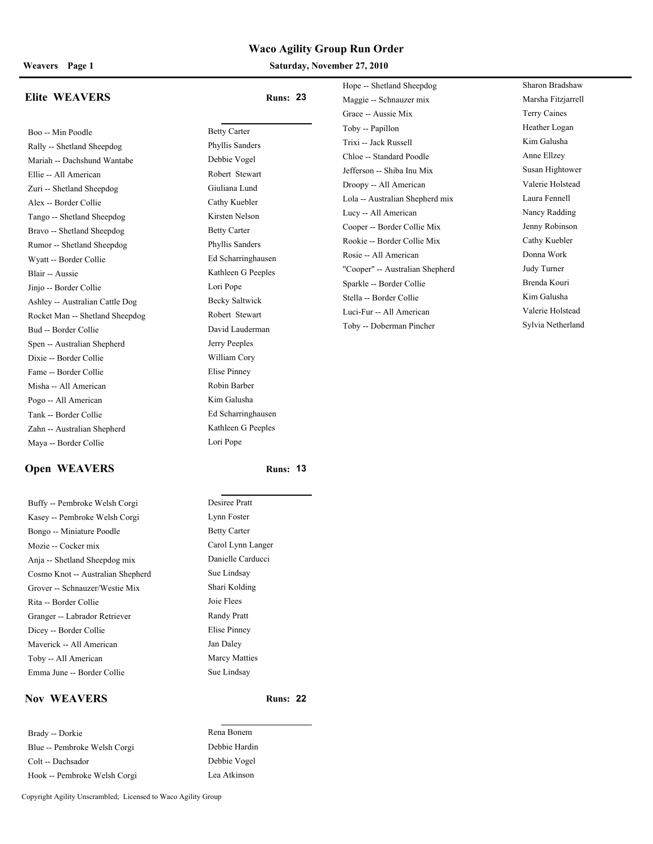#### **Weavers Page 1 Saturday, November 27, 2010**

#### **Elite WEAVERS Runs: 23**

Boo -- Min Poodle Betty Carter Rally -- Shetland Sheepdog Phyllis Sanders Mariah -- Dachshund Wantabe Debbie Vogel Ellie -- All American Robert Stewart Zuri -- Shetland Sheepdog Giuliana Lund Alex -- Border Collie Cathy Kuebler Tango -- Shetland Sheepdog Kirsten Nelson Bravo -- Shetland Sheepdog Betty Carter Rumor -- Shetland Sheepdog Phyllis Sanders Wyatt -- Border Collie Ed Scharringhausen Blair -- Aussie Kathleen G Peeples Jinjo -- Border Collie Lori Pope Ashley -- Australian Cattle Dog Becky Saltwick Rocket Man -- Shetland Sheepdog Robert Stewart Bud -- Border Collie David Lauderman Spen -- Australian Shepherd Jerry Peeples Dixie -- Border Collie William Cory Fame -- Border Collie Elise Pinney Misha -- All American Robin Barber Pogo -- All American Kim Galusha Tank -- Border Collie Ed Scharringhausen Zahn -- Australian Shepherd Kathleen G Peeples Maya -- Border Collie Lori Pope

# **Open WEAVERS Runs:** 13

Buffy -- Pembroke Welsh Corgi Kasey -- Pembroke Welsh Corgi Bongo -- Miniature Poodle Mozie -- Cocker mix Anja -- Shetland Sheepdog mix Cosmo Knot -- Australian Shepherd Grover -- Schnauzer/Westie Mix Rita -- Border Collie Granger -- Labrador Retriever Dicey -- Border Collie Maverick -- All American Toby -- All American Emma June -- Border Collie

### **Nov WEAVERS Runs: 22**

Brady -- Dorkie Rena Bonem Blue -- Pembroke Welsh Corgi Debbie Hardin Colt -- Dachsador Debbie Vogel Hook -- Pembroke Welsh Corgi Lea Atkinson

Maggie -- Schnauzer mix Marsha Fitzjarrell Grace -- Aussie Mix Terry Caines Toby -- Papillon Heather Logan Trixi -- Jack Russell Kim Galusha Chloe -- Standard Poodle Anne Ellzey Jefferson -- Shiba Inu Mix Susan Hightower Droopy -- All American Valerie Holstead Lola -- Australian Shepherd mix Laura Fennell Lucy -- All American Nancy Radding Cooper -- Border Collie Mix Jenny Robinson Rookie -- Border Collie Mix Cathy Kuebler Rosie -- All American Donna Work "Cooper" -- Australian Shepherd Judy Turner Sparkle -- Border Collie Brenda Kouri Stella -- Border Collie Kim Galusha Luci-Fur -- All American Valerie Holstead

Hope -- Shetland Sheepdog Sharon Bradshaw Toby -- Doberman Pincher Sylvia Netherland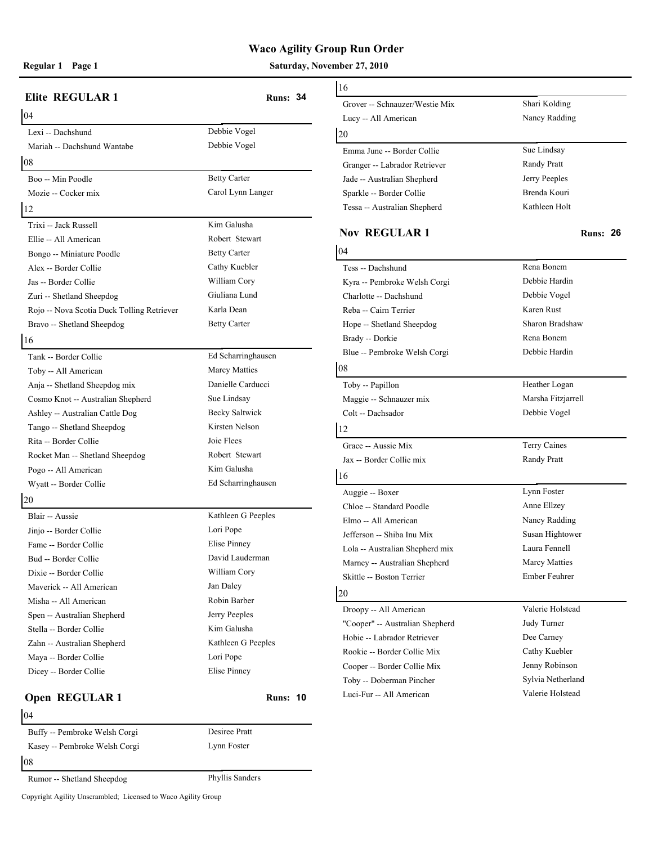**Regular 1 Page 1 Saturday, November 27, 2010**

| <b>Elite REGULAR 1</b>                     | <b>Runs: 34</b>      | 16                  |
|--------------------------------------------|----------------------|---------------------|
| 04                                         |                      | Grover -- Schnauz   |
| Lexi -- Dachshund                          | Debbie Vogel         | Lucy -- All Ameri   |
| Mariah -- Dachshund Wantabe                | Debbie Vogel         | 20                  |
| 08                                         |                      | Emma June -- Bor    |
|                                            |                      | Granger -- Labrad   |
| Boo -- Min Poodle                          | <b>Betty Carter</b>  | Jade -- Australian  |
| Mozie -- Cocker mix                        | Carol Lynn Langer    | Sparkle -- Border   |
| 12                                         |                      | Tessa -- Australia  |
| Trixi -- Jack Russell                      | Kim Galusha          | <b>Nov REGUL</b>    |
| Ellie -- All American                      | Robert Stewart       |                     |
| Bongo -- Miniature Poodle                  | <b>Betty Carter</b>  | 04                  |
| Alex -- Border Collie                      | Cathy Kuebler        | Tess -- Dachshund   |
| Jas -- Border Collie                       | William Cory         | Kyra -- Pembroke    |
| Zuri -- Shetland Sheepdog                  | Giuliana Lund        | Charlotte -- Dachs  |
| Rojo -- Nova Scotia Duck Tolling Retriever | Karla Dean           | Reba -- Cairn Terr  |
| Bravo -- Shetland Sheepdog                 | <b>Betty Carter</b>  | Hope -- Shetland 9  |
| 16                                         |                      | Brady -- Dorkie     |
| Tank -- Border Collie                      | Ed Scharringhausen   | Blue -- Pembroke    |
| Toby -- All American                       | <b>Marcy Matties</b> | 08                  |
| Anja -- Shetland Sheepdog mix              | Danielle Carducci    | Toby -- Papillon    |
| Cosmo Knot -- Australian Shepherd          | Sue Lindsay          | Maggie -- Schnau:   |
| Ashley -- Australian Cattle Dog            | Becky Saltwick       | Colt -- Dachsador   |
| Tango -- Shetland Sheepdog                 | Kirsten Nelson       | 12                  |
| Rita -- Border Collie                      | Joie Flees           | Grace -- Aussie M   |
| Rocket Man -- Shetland Sheepdog            | Robert Stewart       | Jax -- Border Coll  |
| Pogo -- All American                       | Kim Galusha          |                     |
| Wyatt -- Border Collie                     | Ed Scharringhausen   | 16                  |
| 20                                         |                      | Auggie -- Boxer     |
| Blair -- Aussie                            | Kathleen G Peeples   | Chloe -- Standard   |
| Jinjo -- Border Collie                     | Lori Pope            | Elmo -- All Ameri   |
| Fame -- Border Collie                      | Elise Pinney         | Jefferson -- Shiba  |
| Bud -- Border Collie                       | David Lauderman      | Lola -- Australian  |
| Dixie -- Border Collie                     | William Cory         | Marney -- Austral   |
| Maverick -- All American                   | Jan Daley            | Skittle -- Boston T |
| Misha -- All American                      | Robin Barber         | 20                  |
| Spen -- Australian Shepherd                | Jerry Peeples        | Droopy -- All Am    |
| Stella -- Border Collie                    | Kim Galusha          | "Cooper" -- Austra  |
| Zahn -- Australian Shepherd                | Kathleen G Peeples   | Hobie -- Labrador   |
| Maya -- Border Collie                      | Lori Pope            | Rookie -- Border 0  |
| Dicey -- Border Collie                     | Elise Pinney         | Cooper -- Border    |
|                                            |                      | Toby -- Dobermar    |
| Open REGULAR 1                             | <b>Runs: 10</b>      | Luci-Fur -- All Ar  |
| 04                                         |                      |                     |
| Buffy -- Pembroke Welsh Corgi              | Desiree Pratt        |                     |
| Kasey -- Pembroke Welsh Corgi              | Lynn Foster          |                     |

# 16 Grover -- Schnauzer/Westie Mix Shari Kolding Lucy -- All American Nancy Radding 20 Emma June -- Border Collie Sue Lindsay Granger -- Labrador Retriever Randy Pratt Jade -- Australian Shepherd Jerry Peeples Sparkle -- Border Collie Brenda Kouri Tessa -- Australian Shepherd Kathleen Holt **Nov REGULAR 1 Runs: 26** 04 Tess -- Dachshund Rena Bonem Kyra -- Pembroke Welsh Corgi Debbie Hardin Charlotte -- Dachshund Debbie Vogel Reba -- Cairn Terrier Karen Rust Hope -- Shetland Sheepdog Sharon Bradshaw Brady -- Dorkie Rena Bonem Blue -- Pembroke Welsh Corgi Debbie Hardin 08 Toby -- Papillon Heather Logan Maggie -- Schnauzer mix Marsha Fitzjarrell Colt -- Dachsador Debbie Vogel 12 Grace -- Aussie Mix Terry Caines Jax -- Border Collie mix Randy Pratt 16 Auggie -- Boxer Lynn Foster Chloe -- Standard Poodle Anne Ellzey Elmo -- All American Nancy Radding Jefferson -- Shiba Inu Mix Susan Hightower Lola -- Australian Shepherd mix Laura Fennell Marney -- Australian Shepherd Marcy Matties Skittle -- Boston Terrier Ember Feuhrer 20 Droopy -- All American Valerie Holstead "Cooper" -- Australian Shepherd Judy Turner Hobie -- Labrador Retriever Dee Carney Rookie -- Border Collie Mix Cathy Kuebler Cooper -- Border Collie Mix Jenny Robinson Toby -- Doberman Pincher Sylvia Netherland Luci-Fur -- All American Valerie Holstead

08

Rumor -- Shetland Sheepdog Phyllis Sanders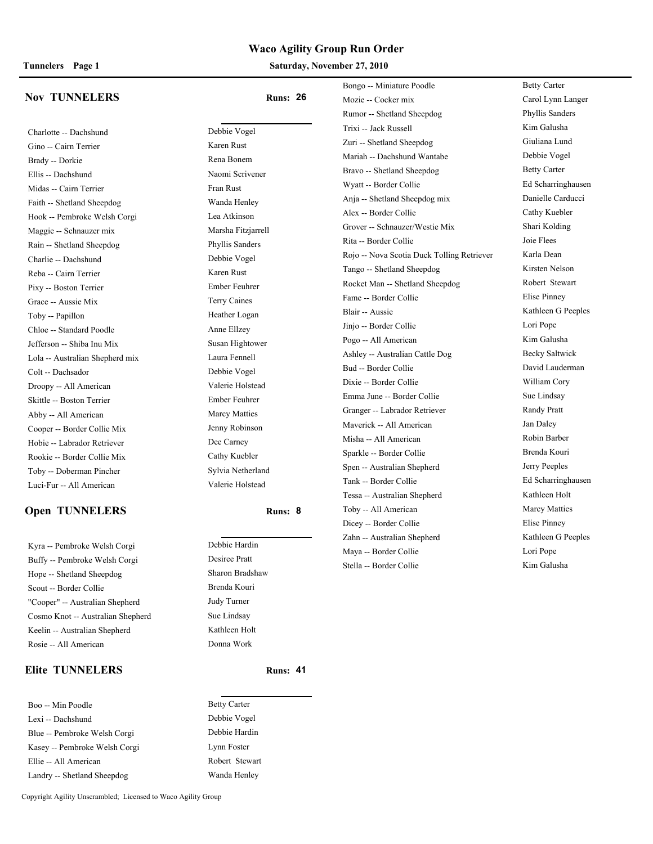#### **Tunnelers Page 1 Saturday, November 27, 2010**

#### **Nov TUNNELERS Runs: 26**

Charlotte -- Dachshund Debbie Vogel Gino -- Cairn Terrier Karen Rust Brady -- Dorkie Rena Bonem Ellis -- Dachshund Naomi Scrivener Midas -- Cairn Terrier Fran Rust Faith -- Shetland Sheepdog Wanda Henley Hook -- Pembroke Welsh Corgi Lea Atkinson Maggie -- Schnauzer mix Marsha Fitzjarrell Rain -- Shetland Sheepdog Phyllis Sanders Charlie -- Dachshund Debbie Vogel Reba -- Cairn Terrier Karen Rust Pixy -- Boston Terrier Ember Feuhrer Grace -- Aussie Mix Terry Caines Toby -- Papillon Heather Logan Chloe -- Standard Poodle Anne Ellzey Jefferson -- Shiba Inu Mix Susan Hightower Lola -- Australian Shepherd mix Laura Fennell Colt -- Dachsador Debbie Vogel Droopy -- All American Valerie Holstead Skittle -- Boston Terrier Ember Feuhrer Abby -- All American Marcy Matties Cooper -- Border Collie Mix Jenny Robinson Hobie -- Labrador Retriever Dee Carney Rookie -- Border Collie Mix Cathy Kuebler Toby -- Doberman Pincher Sylvia Netherland Luci-Fur -- All American Valerie Holstead

### **Open TUNNELERS Runs: 8**

Kyra -- Pembroke Welsh Corgi Debbie Hardin Buffy -- Pembroke Welsh Corgi Desiree Pratt Hope -- Shetland Sheepdog Sharon Bradshaw Scout -- Border Collie Brenda Kouri "Cooper" -- Australian Shepherd Judy Turner Cosmo Knot -- Australian Shepherd Sue Lindsay Keelin -- Australian Shepherd Kathleen Holt Rosie -- All American Donna Work

#### **Elite TUNNELERS Runs: 41**

Boo -- Min Poodle Betty Carter Lexi -- Dachshund Debbie Vogel Blue -- Pembroke Welsh Corgi Debbie Hardin Kasey -- Pembroke Welsh Corgi Lynn Foster Ellie -- All American Robert Stewart Landry -- Shetland Sheepdog Wanda Henley

Bongo -- Miniature Poodle Betty Carter Mozie -- Cocker mix Carol Lynn Langer Rumor -- Shetland Sheepdog Phyllis Sanders Trixi -- Jack Russell Kim Galusha Zuri -- Shetland Sheepdog Giuliana Lund Mariah -- Dachshund Wantabe Debbie Vogel Bravo -- Shetland Sheepdog Betty Carter Wyatt -- Border Collie Ed Scharringhausen Anja -- Shetland Sheepdog mix Danielle Carducci Alex -- Border Collie Cathy Kuebler Grover -- Schnauzer/Westie Mix Shari Kolding Rita -- Border Collie Joie Flees Rojo -- Nova Scotia Duck Tolling Retriever Karla Dean Tango -- Shetland Sheepdog Kirsten Nelson Rocket Man -- Shetland Sheepdog Robert Stewart Fame -- Border Collie Elise Pinney Blair -- Aussie Kathleen G Peeples Jinjo -- Border Collie Lori Pope Pogo -- All American Kim Galusha Ashley -- Australian Cattle Dog Becky Saltwick Bud -- Border Collie David Lauderman Dixie -- Border Collie William Cory Emma June -- Border Collie Sue Lindsay Granger -- Labrador Retriever Randy Pratt Maverick -- All American Jan Daley Misha -- All American Robin Barber Sparkle -- Border Collie Brenda Kouri Spen -- Australian Shepherd Jerry Peeples Tank -- Border Collie Ed Scharringhausen Tessa -- Australian Shepherd Kathleen Holt Toby -- All American Marcy Matties Dicey -- Border Collie Elise Pinney Zahn -- Australian Shepherd Kathleen G Peeples Maya -- Border Collie Lori Pope Stella -- Border Collie Kim Galusha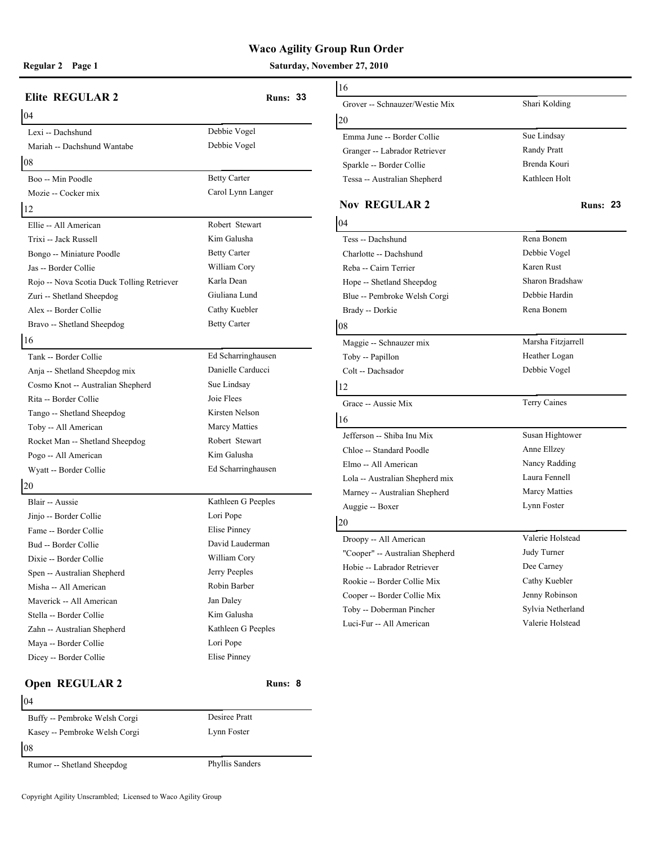**Regular 2 Page 1 Saturday, November 27, 2010**

| <b>Elite REGULAR 2</b>                     |                     | 16                                      |
|--------------------------------------------|---------------------|-----------------------------------------|
|                                            | <b>Runs: 33</b>     | Grover -- Schnauz                       |
| 04                                         |                     | 20                                      |
| Lexi -- Dachshund                          | Debbie Vogel        | Emma June -- Bor                        |
| Mariah -- Dachshund Wantabe                | Debbie Vogel        | Granger -- Labrad                       |
| 08                                         |                     | Sparkle -- Border                       |
| Boo -- Min Poodle                          | <b>Betty Carter</b> | Tessa -- Australia                      |
| Mozie -- Cocker mix                        | Carol Lynn Langer   |                                         |
| 12                                         |                     | <b>Nov REGUL</b>                        |
| Ellie -- All American                      | Robert Stewart      | 04                                      |
| Trixi -- Jack Russell                      | Kim Galusha         | Tess -- Dachshund                       |
| Bongo -- Miniature Poodle                  | <b>Betty Carter</b> | Charlotte -- Dachs                      |
| Jas -- Border Collie                       | William Cory        | Reba -- Cairn Teri                      |
| Rojo -- Nova Scotia Duck Tolling Retriever | Karla Dean          | Hope -- Shetland 9                      |
| Zuri -- Shetland Sheepdog                  | Giuliana Lund       | Blue -- Pembroke                        |
| Alex -- Border Collie                      | Cathy Kuebler       | Brady -- Dorkie                         |
| Bravo -- Shetland Sheepdog                 | <b>Betty Carter</b> | 08                                      |
| 16                                         |                     | Maggie -- Schnau:                       |
| Tank -- Border Collie                      | Ed Scharringhausen  | Toby -- Papillon                        |
| Anja -- Shetland Sheepdog mix              | Danielle Carducci   | Colt -- Dachsador                       |
| Cosmo Knot -- Australian Shepherd          | Sue Lindsay         | 12                                      |
| Rita -- Border Collie                      | Joie Flees          | Grace -- Aussie M                       |
| Tango -- Shetland Sheepdog                 | Kirsten Nelson      | 16                                      |
| Toby -- All American                       | Marcy Matties       |                                         |
| Rocket Man -- Shetland Sheepdog            | Robert Stewart      | Jefferson -- Shiba                      |
| Pogo -- All American                       | Kim Galusha         | Chloe -- Standard                       |
| Wyatt -- Border Collie                     | Ed Scharringhausen  | Elmo -- All Ameri                       |
| 20                                         |                     | Lola -- Australian<br>Marney -- Austral |
| Blair -- Aussie                            | Kathleen G Peeples  | Auggie -- Boxer                         |
| Jinjo -- Border Collie                     | Lori Pope           |                                         |
| Fame -- Border Collie                      | Elise Pinney        | 20                                      |
| Bud -- Border Collie                       | David Lauderman     | Droopy -- All Am                        |
| Dixie -- Border Collie                     | William Cory        | "Cooper" -- Austra                      |
| Spen -- Australian Shepherd                | Jerry Peeples       | Hobie -- Labrador                       |
| Misha -- All American                      | Robin Barber        | Rookie -- Border (                      |
| Maverick -- All American                   | Jan Daley           | Cooper -- Border                        |
| Stella -- Border Collie                    | Kim Galusha         | Toby -- Dobermar                        |
| Zahn -- Australian Shepherd                | Kathleen G Peeples  | Luci-Fur -- All Ar                      |
| Maya -- Border Collie                      | Lori Pope           |                                         |
| Dicey -- Border Collie                     | Elise Pinney        |                                         |
| Open REGULAR 2                             | Runs: 8             |                                         |
| 04                                         |                     |                                         |

# 16 Grover -- Schnauzer/Westie Mix Shari Kolding 20 Emma June -- Border Collie Sue Lindsay Granger -- Labrador Retriever Randy Pratt Sparkle -- Border Collie Brenda Kouri Tessa -- Australian Shepherd Kathleen Holt **Nov REGULAR 2 Runs:** 23 04 Tess -- Dachshund Rena Bonem Charlotte -- Dachshund Debbie Vogel Reba -- Cairn Terrier Karen Rust Hope -- Shetland Sheepdog Sharon Bradshaw Blue -- Pembroke Welsh Corgi Debbie Hardin Brady -- Dorkie Rena Bonem 08 Maggie -- Schnauzer mix Marsha Fitzjarrell Toby -- Papillon Heather Logan Colt -- Dachsador Debbie Vogel 12 Grace -- Aussie Mix Terry Caines 16 Jefferson -- Shiba Inu Mix Susan Hightower Chloe -- Standard Poodle Anne Ellzey Elmo -- All American Nancy Radding Lola -- Australian Shepherd mix Laura Fennell Marney -- Australian Shepherd Marcy Matties Auggie -- Boxer Lynn Foster 20 Droopy -- All American Valerie Holstead "Cooper" -- Australian Shepherd Judy Turner Hobie -- Labrador Retriever Dee Carney Rookie -- Border Collie Mix Cathy Kuebler Cooper -- Border Collie Mix Jenny Robinson Toby -- Doberman Pincher Sylvia Netherland Luci-Fur -- All American Valerie Holstead

| Buffy -- Pembroke Welsh Corgi | Desiree Pratt   |  |
|-------------------------------|-----------------|--|
| Kasey -- Pembroke Welsh Corgi | Lynn Foster     |  |
| 08                            |                 |  |
| Rumor -- Shetland Sheepdog    | Phyllis Sanders |  |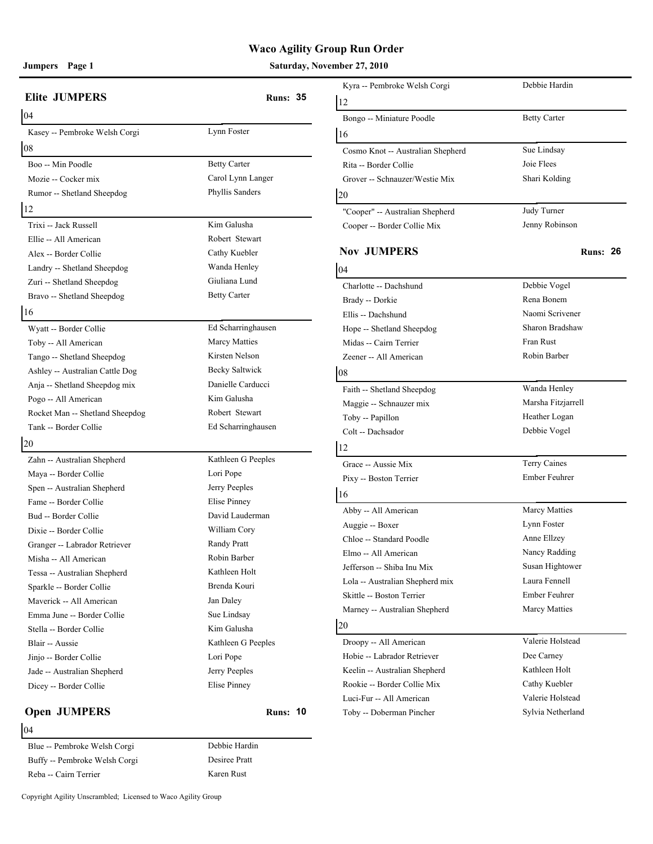**Jumpers Page 1 Saturday, November 27, 2010**

|                                 |                       | Kyra -- Pembroke Welsh Corgi      | Debbie Hardin       |
|---------------------------------|-----------------------|-----------------------------------|---------------------|
| <b>Elite JUMPERS</b>            | <b>Runs: 35</b>       | 12                                |                     |
| 04                              |                       | Bongo -- Miniature Poodle         | <b>Betty Carter</b> |
| Kasey -- Pembroke Welsh Corgi   | Lynn Foster           | 16                                |                     |
| 08                              |                       | Cosmo Knot -- Australian Shepherd | Sue Lindsay         |
| Boo -- Min Poodle               | <b>Betty Carter</b>   | Rita -- Border Collie             | Joie Flees          |
| Mozie -- Cocker mix             | Carol Lynn Langer     | Grover -- Schnauzer/Westie Mix    | Shari Kolding       |
| Rumor -- Shetland Sheepdog      | Phyllis Sanders       | 20                                |                     |
| 12                              |                       | "Cooper" -- Australian Shepherd   | Judy Turner         |
| Trixi -- Jack Russell           | Kim Galusha           | Cooper -- Border Collie Mix       | Jenny Robinson      |
| Ellie -- All American           | Robert Stewart        |                                   |                     |
| Alex -- Border Collie           | Cathy Kuebler         | <b>Nov JUMPERS</b>                | R                   |
| Landry -- Shetland Sheepdog     | Wanda Henley          | 04                                |                     |
| Zuri -- Shetland Sheepdog       | Giuliana Lund         | Charlotte -- Dachshund            | Debbie Vogel        |
| Bravo -- Shetland Sheepdog      | <b>Betty Carter</b>   | Brady -- Dorkie                   | Rena Bonem          |
| 16                              |                       | Ellis -- Dachshund                | Naomi Scrivener     |
| Wyatt -- Border Collie          | Ed Scharringhausen    | Hope -- Shetland Sheepdog         | Sharon Bradshaw     |
| Toby -- All American            | <b>Marcy Matties</b>  | Midas -- Cairn Terrier            | Fran Rust           |
| Tango -- Shetland Sheepdog      | Kirsten Nelson        | Zeener -- All American            | Robin Barber        |
| Ashley -- Australian Cattle Dog | <b>Becky Saltwick</b> | 08                                |                     |
| Anja -- Shetland Sheepdog mix   | Danielle Carducci     | Faith -- Shetland Sheepdog        | Wanda Henley        |
| Pogo -- All American            | Kim Galusha           | Maggie -- Schnauzer mix           | Marsha Fitzjarrell  |
| Rocket Man -- Shetland Sheepdog | Robert Stewart        | Toby -- Papillon                  | Heather Logan       |
| Tank -- Border Collie           | Ed Scharringhausen    | Colt -- Dachsador                 | Debbie Vogel        |
| 20                              |                       | 12                                |                     |
| Zahn -- Australian Shepherd     | Kathleen G Peeples    |                                   | Terry Caines        |
| Maya -- Border Collie           | Lori Pope             | Grace -- Aussie Mix               | Ember Feuhrer       |
| Spen -- Australian Shepherd     | Jerry Peeples         | Pixy -- Boston Terrier            |                     |
| Fame -- Border Collie           | Elise Pinney          | 16                                |                     |
| Bud -- Border Collie            | David Lauderman       | Abby -- All American              | Marcy Matties       |
| Dixie -- Border Collie          | William Cory          | Auggie -- Boxer                   | Lynn Foster         |
| Granger -- Labrador Retriever   | Randy Pratt           | Chloe -- Standard Poodle          | Anne Ellzey         |
| Misha -- All American           | Robin Barber          | Elmo -- All American              | Nancy Radding       |
| Tessa -- Australian Shepherd    | Kathleen Holt         | Jefferson -- Shiba Inu Mix        | Susan Hightower     |
| Sparkle -- Border Collie        | Brenda Kouri          | Lola -- Australian Shepherd mix   | Laura Fennell       |
| Maverick -- All American        | Jan Daley             | Skittle -- Boston Terrier         | Ember Feuhrer       |
| Emma June -- Border Collie      | Sue Lindsay           | Marney -- Australian Shepherd     | Marcy Matties       |
| Stella -- Border Collie         | Kim Galusha           | 20                                |                     |
| Blair -- Aussie                 | Kathleen G Peeples    | Droopy -- All American            | Valerie Holstead    |
| Jinjo -- Border Collie          | Lori Pope             | Hobie -- Labrador Retriever       | Dee Carney          |
| Jade -- Australian Shepherd     | Jerry Peeples         | Keelin -- Australian Shepherd     | Kathleen Holt       |
| Dicey -- Border Collie          | Elise Pinney          | Rookie -- Border Collie Mix       | Cathy Kuebler       |
|                                 |                       | Luci-Fur -- All American          | Valerie Holstead    |
| <b>Open JUMPERS</b>             | <b>Runs: 10</b>       | Toby -- Doberman Pincher          | Sylvia Netherland   |

#### 04

Blue -- Pembroke Welsh Corgi Debbie Hardin Buffy -- Pembroke Welsh Corgi Desiree Pratt Reba -- Cairn Terrier Karen Rust

| Kyra -- Pembroke Welsh Corgi      | Debbie Hardin        |
|-----------------------------------|----------------------|
| 12                                |                      |
| Bongo -- Miniature Poodle         | <b>Betty Carter</b>  |
| 16                                |                      |
| Cosmo Knot -- Australian Shepherd | Sue Lindsay          |
| Rita -- Border Collie             | Joie Flees           |
| Grover -- Schnauzer/Westie Mix    | Shari Kolding        |
| 20                                |                      |
| "Cooper" -- Australian Shepherd   | Judy Turner          |
| Cooper -- Border Collie Mix       | Jenny Robinson       |
| <b>Nov JUMPERS</b>                | <b>Runs: 26</b>      |
| 04                                |                      |
| Charlotte -- Dachshund            | Debbie Vogel         |
| Brady -- Dorkie                   | Rena Bonem           |
| Ellis -- Dachshund                | Naomi Scrivener      |
| Hope -- Shetland Sheepdog         | Sharon Bradshaw      |
| Midas -- Cairn Terrier            | Fran Rust            |
| Zeener -- All American            | Robin Barber         |
| 08                                |                      |
| Faith -- Shetland Sheepdog        | Wanda Henley         |
| Maggie -- Schnauzer mix           | Marsha Fitzjarrell   |
| Toby -- Papillon                  | Heather Logan        |
| Colt -- Dachsador                 | Debbie Vogel         |
| 12                                |                      |
| Grace -- Aussie Mix               | Terry Caines         |
| Pixy -- Boston Terrier            | Ember Feuhrer        |
| 16                                |                      |
| Abby -- All American              | Marcy Matties        |
| Auggie -- Boxer                   | Lynn Foster          |
| Chloe -- Standard Poodle          | Anne Ellzey          |
| Elmo -- All American              | Nancy Radding        |
| Jefferson -- Shiba Inu Mix        | Susan Hightower      |
| Lola -- Australian Shepherd mix   | Laura Fennell        |
| Skittle -- Boston Terrier         | Ember Feuhrer        |
| Marney -- Australian Shepherd     | <b>Marcy Matties</b> |
| 20                                |                      |
| Droopy -- All American            | Valerie Holstead     |
| Hobie -- Labrador Retriever       | Dee Carney           |
| Keelin -- Australian Shepherd     | Kathleen Holt        |
| Rookie -- Border Collie Mix       | Cathy Kuebler        |
| Luci-Fur -- All American          | Valerie Holstead     |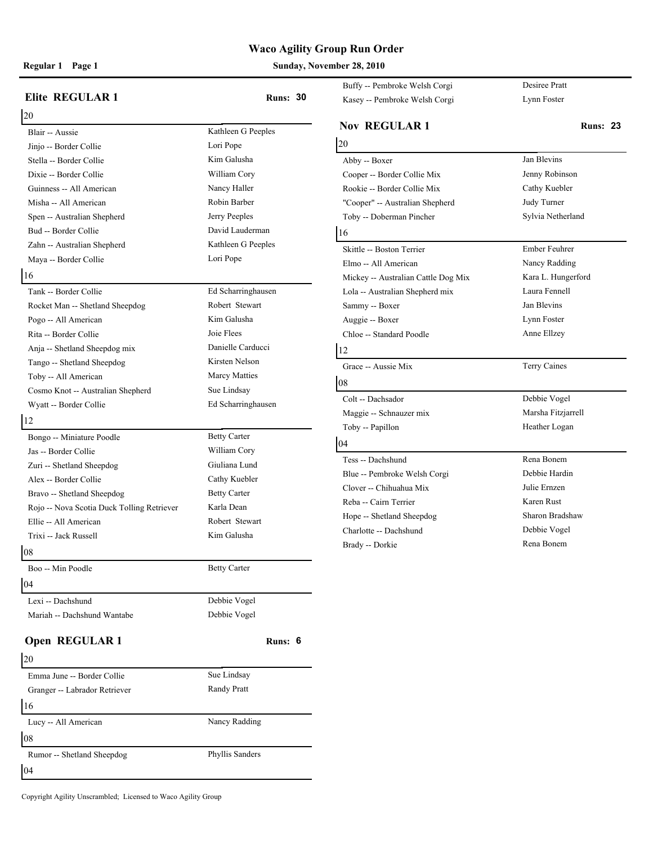**Regular 1 Page 1 Sunday, November 28, 2010**

|                                            |                     | Buffy -- Pembroke Welsh Corgi       | Desiree Pratt      |
|--------------------------------------------|---------------------|-------------------------------------|--------------------|
| <b>Elite REGULAR 1</b>                     | <b>Runs: 30</b>     | Kasey -- Pembroke Welsh Corgi       | Lynn Foster        |
| 20                                         |                     |                                     |                    |
| Blair -- Aussie                            | Kathleen G Peeples  | <b>Nov REGULAR1</b>                 | <b>Runs: 23</b>    |
| Jinjo -- Border Collie                     | Lori Pope           | 20                                  |                    |
| Stella -- Border Collie                    | Kim Galusha         | Abby -- Boxer                       | Jan Blevins        |
| Dixie -- Border Collie                     | William Cory        | Cooper -- Border Collie Mix         | Jenny Robinson     |
| Guinness -- All American                   | Nancy Haller        | Rookie -- Border Collie Mix         | Cathy Kuebler      |
| Misha -- All American                      | Robin Barber        | "Cooper" -- Australian Shepherd     | Judy Turner        |
| Spen -- Australian Shepherd                | Jerry Peeples       | Toby -- Doberman Pincher            | Sylvia Netherland  |
| Bud -- Border Collie                       | David Lauderman     | 16                                  |                    |
| Zahn -- Australian Shepherd                | Kathleen G Peeples  | Skittle -- Boston Terrier           | Ember Feuhrer      |
| Maya -- Border Collie                      | Lori Pope           | Elmo -- All American                | Nancy Radding      |
| 16                                         |                     | Mickey -- Australian Cattle Dog Mix | Kara L. Hungerford |
| Tank -- Border Collie                      | Ed Scharringhausen  | Lola -- Australian Shepherd mix     | Laura Fennell      |
| Rocket Man -- Shetland Sheepdog            | Robert Stewart      | Sammy -- Boxer                      | Jan Blevins        |
| Pogo -- All American                       | Kim Galusha         | Auggie -- Boxer                     | Lynn Foster        |
| Rita -- Border Collie                      | Joie Flees          | Chloe -- Standard Poodle            | Anne Ellzey        |
| Anja -- Shetland Sheepdog mix              | Danielle Carducci   |                                     |                    |
| Tango -- Shetland Sheepdog                 | Kirsten Nelson      | 12                                  |                    |
| Toby -- All American                       | Marcy Matties       | Grace -- Aussie Mix                 | Terry Caines       |
| Cosmo Knot -- Australian Shepherd          | Sue Lindsay         | 08                                  |                    |
|                                            | Ed Scharringhausen  | Colt -- Dachsador                   | Debbie Vogel       |
| Wyatt -- Border Collie                     |                     | Maggie -- Schnauzer mix             | Marsha Fitzjarrell |
| 12                                         |                     | Toby -- Papillon                    | Heather Logan      |
| Bongo -- Miniature Poodle                  | <b>Betty Carter</b> | 04                                  |                    |
| Jas -- Border Collie                       | William Cory        | Tess -- Dachshund                   | Rena Bonem         |
| Zuri -- Shetland Sheepdog                  | Giuliana Lund       | Blue -- Pembroke Welsh Corgi        | Debbie Hardin      |
| Alex -- Border Collie                      | Cathy Kuebler       | Clover -- Chihuahua Mix             | Julie Ernzen       |
| Bravo -- Shetland Sheepdog                 | <b>Betty Carter</b> | Reba -- Cairn Terrier               | Karen Rust         |
| Rojo -- Nova Scotia Duck Tolling Retriever | Karla Dean          |                                     | Sharon Bradshaw    |
| Ellie -- All American                      | Robert Stewart      | Hope -- Shetland Sheepdog           | Debbie Vogel       |
| Trixi -- Jack Russell                      | Kim Galusha         | Charlotte -- Dachshund              | Rena Bonem         |
| 08                                         |                     | Brady -- Dorkie                     |                    |
| Boo -- Min Poodle                          | <b>Betty Carter</b> |                                     |                    |
| 04                                         |                     |                                     |                    |
| Lexi -- Dachshund                          | Debbie Vogel        |                                     |                    |
| Mariah -- Dachshund Wantabe                | Debbie Vogel        |                                     |                    |
| Open REGULAR 1                             | Runs: 6             |                                     |                    |
| 20                                         |                     |                                     |                    |
| Emma June -- Border Collie                 | Sue Lindsay         |                                     |                    |
| Granger -- Labrador Retriever              | Randy Pratt         |                                     |                    |
| 16                                         |                     |                                     |                    |
| Lucy -- All American                       | Nancy Radding       |                                     |                    |
| 08                                         |                     |                                     |                    |
| Rumor -- Shetland Sheepdog                 | Phyllis Sanders     |                                     |                    |
| 04                                         |                     |                                     |                    |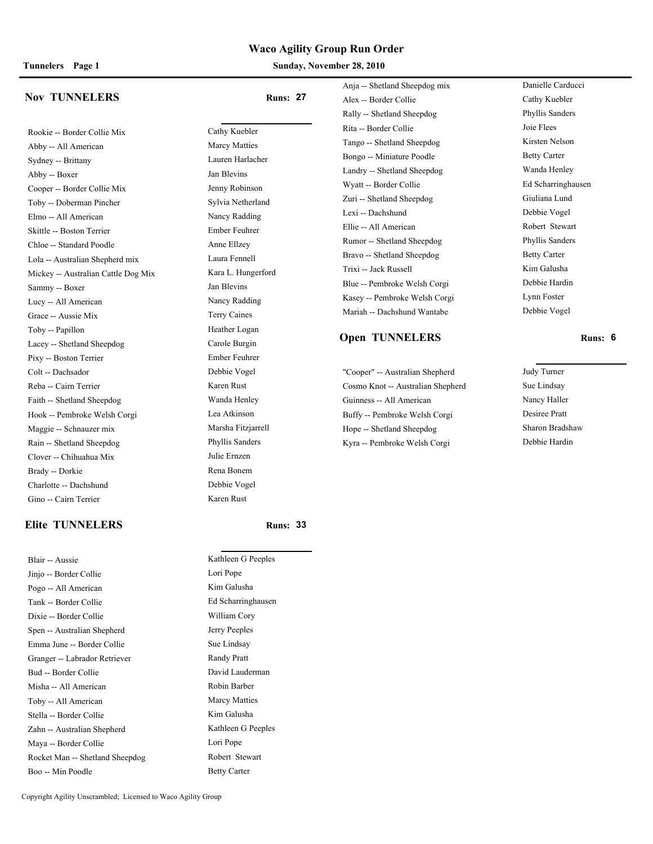**Tunnelers Page 1 Sunday, November 28, 2010**

#### **Nov TUNNELERS Runs: 27**

Rookie -- Border Collie Mix Cathy Kuebler Abby -- All American Marcy Matties Sydney -- Brittany Lauren Harlacher Abby -- Boxer Jan Blevins Cooper -- Border Collie Mix Jenny Robinson Toby -- Doberman Pincher Sylvia Netherland Elmo -- All American Nancy Radding Skittle -- Boston Terrier Ember Feuhrer Chloe -- Standard Poodle Anne Ellzey Lola -- Australian Shepherd mix Laura Fennell Mickey -- Australian Cattle Dog Mix Kara L. Hungerford Sammy -- Boxer Jan Blevins Lucy -- All American Nancy Radding Grace -- Aussie Mix Terry Caines Toby -- Papillon Heather Logan Lacey -- Shetland Sheepdog Carole Burgin Pixy -- Boston Terrier Ember Feuhrer Colt -- Dachsador Debbie Vogel Reba -- Cairn Terrier Karen Rust Faith -- Shetland Sheepdog Wanda Henley Hook -- Pembroke Welsh Corgi Lea Atkinson Maggie -- Schnauzer mix Marsha Fitzjarrell Rain -- Shetland Sheepdog Phyllis Sanders Clover -- Chihuahua Mix Julie Ernzen Brady -- Dorkie Rena Bonem Charlotte -- Dachshund Debbie Vogel Gino -- Cairn Terrier Karen Rust

#### **Elite TUNNELERS Runs: 33**

| Blair -- Aussie                 | Kathleen G Peeples   |  |
|---------------------------------|----------------------|--|
| Jinjo -- Border Collie          | Lori Pope            |  |
| Pogo -- All American            | Kim Galusha          |  |
| Tank -- Border Collie           | Ed Scharringhausen   |  |
| Dixie -- Border Collie          | William Cory         |  |
| Spen -- Australian Shepherd     | Jerry Peeples        |  |
| Emma June -- Border Collie      | Sue Lindsay          |  |
| Granger -- Labrador Retriever   | Randy Pratt          |  |
| Bud -- Border Collie            | David Lauderman      |  |
| Misha -- All American           | Robin Barber         |  |
| Toby -- All American            | <b>Marcy Matties</b> |  |
| Stella -- Border Collie         | Kim Galusha          |  |
| Zahn -- Australian Shepherd     | Kathleen G Peeples   |  |
| Maya -- Border Collie           | Lori Pope            |  |
| Rocket Man -- Shetland Sheepdog | Robert Stewart       |  |
| Boo -- Min Poodle               | <b>Betty Carter</b>  |  |

| Kathleen G Peeples   |
|----------------------|
| Lori Pope            |
| Kim Galusha          |
| Ed Scharringhausen   |
| William Cory         |
| Jerry Peeples        |
| Sue Lindsay          |
| Randy Pratt          |
| David Lauderman      |
| Robin Barber         |
| <b>Marcy Matties</b> |
| Kim Galusha          |
| Kathleen G Peeples   |
| Lori Pope            |
| Robert Stewart       |
| <b>Betty Carter</b>  |

Anja -- Shetland Sheepdog mix Danielle Carducci Alex -- Border Collie Cathy Kuebler Rally -- Shetland Sheepdog Phyllis Sanders Rita -- Border Collie Joie Flees Tango -- Shetland Sheepdog Kirsten Nelson Bongo -- Miniature Poodle Betty Carter Landry -- Shetland Sheepdog Wanda Henley Wyatt -- Border Collie Ed Scharringhausen Zuri -- Shetland Sheepdog Giuliana Lund Lexi -- Dachshund Debbie Vogel Ellie -- All American Robert Stewart Rumor -- Shetland Sheepdog Phyllis Sanders Bravo -- Shetland Sheepdog Betty Carter Trixi -- Jack Russell Kim Galusha Blue -- Pembroke Welsh Corgi Debbie Hardin Kasey -- Pembroke Welsh Corgi Lynn Foster Mariah -- Dachshund Wantabe Debbie Vogel

#### **Open TUNNELERS Runs: 6**

"Cooper" -- Australian Shepherd Judy Turner Cosmo Knot -- Australian Shepherd Sue Lindsay Guinness -- All American Nancy Haller Buffy -- Pembroke Welsh Corgi Desiree Pratt Hope -- Shetland Sheepdog Sharon Bradshaw Kyra -- Pembroke Welsh Corgi Debbie Hardin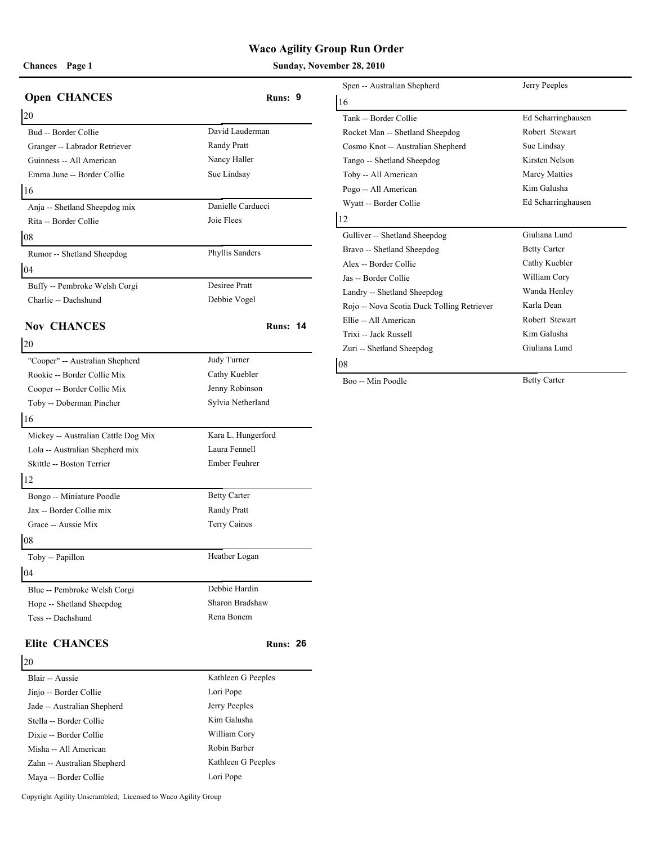### **Chances** Page 1 **Sunday, November 28, 2010**

| <b>Open CHANCES</b>                                    | Runs: 9             | Spen -- Australian                      |
|--------------------------------------------------------|---------------------|-----------------------------------------|
|                                                        |                     | 16                                      |
| 20                                                     | David Lauderman     | Tank -- Border Co                       |
| Bud -- Border Collie                                   | Randy Pratt         | Rocket Man -- Sho                       |
| Granger -- Labrador Retriever                          | Nancy Haller        | Cosmo Knot -- Au                        |
| Guinness -- All American<br>Emma June -- Border Collie | Sue Lindsay         | Tango -- Shetland                       |
|                                                        |                     | Toby -- All Ameri<br>Pogo -- All Ameri  |
| 16                                                     |                     | Wyatt -- Border C                       |
| Anja -- Shetland Sheepdog mix                          | Danielle Carducci   | 12                                      |
| Rita -- Border Collie                                  | Joie Flees          |                                         |
| 08                                                     |                     | Gulliver -- Shetlar                     |
| Rumor -- Shetland Sheepdog                             | Phyllis Sanders     | Bravo -- Shetland                       |
| 04                                                     |                     | Alex -- Border Co                       |
| Buffy -- Pembroke Welsh Corgi                          | Desiree Pratt       | Jas -- Border Colli                     |
| Charlie -- Dachshund                                   | Debbie Vogel        | Landry -- Shetland<br>Rojo -- Nova Scot |
|                                                        |                     | Ellie -- All Amerie                     |
| <b>Nov CHANCES</b>                                     | <b>Runs: 14</b>     | Trixi -- Jack Russ                      |
| 20                                                     |                     | Zuri -- Shetland S                      |
| "Cooper" -- Australian Shepherd                        | Judy Turner         | 08                                      |
| Rookie -- Border Collie Mix                            | Cathy Kuebler       | Boo -- Min Poodle                       |
| Cooper -- Border Collie Mix                            | Jenny Robinson      |                                         |
| Toby -- Doberman Pincher                               | Sylvia Netherland   |                                         |
| 16                                                     |                     |                                         |
| Mickey -- Australian Cattle Dog Mix                    | Kara L. Hungerford  |                                         |
| Lola -- Australian Shepherd mix                        | Laura Fennell       |                                         |
| Skittle -- Boston Terrier                              | Ember Feuhrer       |                                         |
| 12                                                     |                     |                                         |
| Bongo -- Miniature Poodle                              | <b>Betty Carter</b> |                                         |
| Jax -- Border Collie mix                               | Randy Pratt         |                                         |
| Grace -- Aussie Mix                                    | Terry Caines        |                                         |
| 08                                                     |                     |                                         |
| Toby -- Papillon                                       | Heather Logan       |                                         |
| 04                                                     |                     |                                         |
| Blue -- Pembroke Welsh Corgi                           | Debbie Hardin       |                                         |
| Hope -- Shetland Sheepdog                              | Sharon Bradshaw     |                                         |
| Tess -- Dachshund                                      | Rena Bonem          |                                         |
| <b>Elite CHANCES</b>                                   | <b>Runs: 26</b>     |                                         |
| 20                                                     |                     |                                         |
| Plair Auggio                                           | Kathleen G Peeples  |                                         |

| Spen -- Australian Shepherd                | Jerry Peeples        |
|--------------------------------------------|----------------------|
| 16                                         |                      |
| Tank -- Border Collie                      | Ed Scharringhausen   |
| Rocket Man -- Shetland Sheepdog            | Robert Stewart       |
| Cosmo Knot -- Australian Shepherd          | Sue Lindsay          |
| Tango -- Shetland Sheepdog                 | Kirsten Nelson       |
| Toby -- All American                       | <b>Marcy Matties</b> |
| Pogo -- All American                       | Kim Galusha          |
| Wyatt -- Border Collie                     | Ed Scharringhausen   |
| 12                                         |                      |
| Gulliver -- Shetland Sheepdog              | Giuliana Lund        |
| Bravo -- Shetland Sheepdog                 | <b>Betty Carter</b>  |
| Alex -- Border Collie                      | Cathy Kuebler        |
| Jas -- Border Collie                       | William Cory         |
| Landry -- Shetland Sheepdog                | Wanda Henley         |
| Rojo -- Nova Scotia Duck Tolling Retriever | Karla Dean           |
| Ellie -- All American                      | Robert Stewart       |
| Trixi -- Jack Russell                      | Kim Galusha          |
| Zuri -- Shetland Sheepdog                  | Giuliana Lund        |
| 08                                         |                      |
|                                            |                      |

Boo -- Min Poodle Betty Carter

| Blair -- Aussie             | Kathleen G Peeples |
|-----------------------------|--------------------|
| Jinjo -- Border Collie      | Lori Pope          |
| Jade -- Australian Shepherd | Jerry Peeples      |
| Stella -- Border Collie     | Kim Galusha        |
| Dixie -- Border Collie      | William Cory       |
| Misha -- All American       | Robin Barber       |
| Zahn -- Australian Shepherd | Kathleen G Peeples |
| Maya -- Border Collie       | Lori Pope          |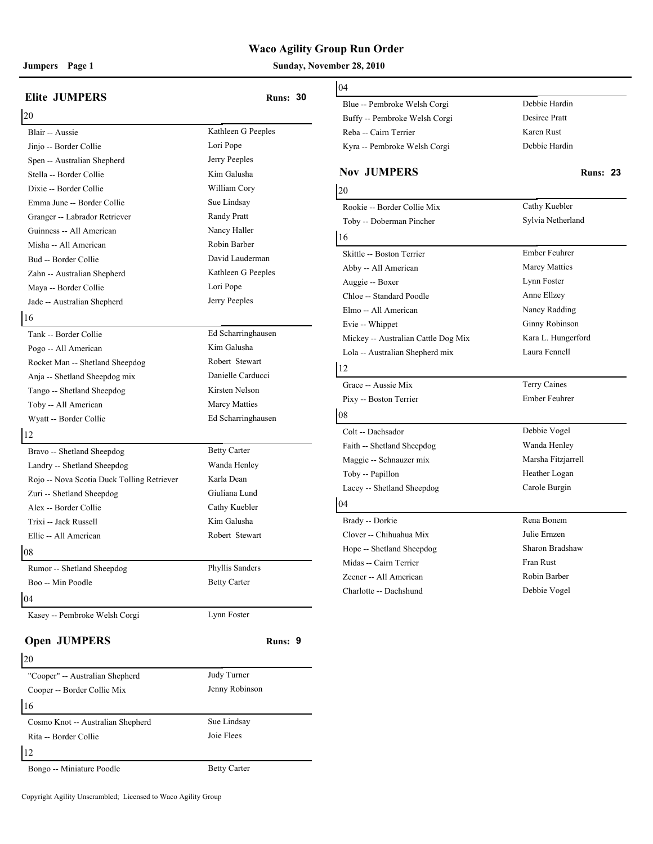#### **Jumpers Page 1 Sunday, November 28, 2010**

| <b>Elite JUMPERS</b>                       | <b>Runs: 30</b>     | 04<br>Blue -- Pembroke               |
|--------------------------------------------|---------------------|--------------------------------------|
| 20                                         |                     | Buffy -- Pembrok                     |
| Blair -- Aussie                            | Kathleen G Peeples  | Reba -- Cairn Teri                   |
| Jinjo -- Border Collie                     | Lori Pope           | Kyra -- Pembroke                     |
| Spen -- Australian Shepherd                | Jerry Peeples       |                                      |
| Stella -- Border Collie                    | Kim Galusha         | <b>Nov JUMPE</b>                     |
| Dixie -- Border Collie                     | William Cory        | 20                                   |
| Emma June -- Border Collie                 | Sue Lindsay         | Rookie -- Border 0                   |
| Granger -- Labrador Retriever              | Randy Pratt         | Toby -- Dobermar                     |
| Guinness -- All American                   | Nancy Haller        | 16                                   |
| Misha -- All American                      | Robin Barber        |                                      |
| Bud -- Border Collie                       | David Lauderman     | Skittle -- Boston T                  |
| Zahn -- Australian Shepherd                | Kathleen G Peeples  | Abby -- All Amer                     |
| Maya -- Border Collie                      | Lori Pope           | Auggie -- Boxer                      |
| Jade -- Australian Shepherd                | Jerry Peeples       | Chloe -- Standard                    |
| 16                                         |                     | Elmo -- All Ameri                    |
| Tank -- Border Collie                      | Ed Scharringhausen  | Evie -- Whippet<br>Mickey -- Austral |
| Pogo -- All American                       | Kim Galusha         | Lola -- Australian                   |
| Rocket Man -- Shetland Sheepdog            | Robert Stewart      |                                      |
| Anja -- Shetland Sheepdog mix              | Danielle Carducci   | 12                                   |
| Tango -- Shetland Sheepdog                 | Kirsten Nelson      | Grace -- Aussie M                    |
| Toby -- All American                       | Marcy Matties       | Pixy -- Boston Ter                   |
| Wyatt -- Border Collie                     | Ed Scharringhausen  | 08                                   |
| 12                                         |                     | Colt -- Dachsador                    |
| Bravo -- Shetland Sheepdog                 | <b>Betty Carter</b> | Faith -- Shetland S                  |
| Landry -- Shetland Sheepdog                | Wanda Henley        | Maggie -- Schnau:                    |
| Rojo -- Nova Scotia Duck Tolling Retriever | Karla Dean          | Toby -- Papillon                     |
| Zuri -- Shetland Sheepdog                  | Giuliana Lund       | Lacey -- Shetland                    |
| Alex -- Border Collie                      | Cathy Kuebler       | 04                                   |
| Trixi -- Jack Russell                      | Kim Galusha         | Brady -- Dorkie                      |
| Ellie -- All American                      | Robert Stewart      | Clover -- Chihuah                    |
| 08                                         |                     | Hope -- Shetland 9                   |
| Rumor -- Shetland Sheepdog                 | Phyllis Sanders     | Midas -- Cairn Te                    |
| Boo -- Min Poodle                          | <b>Betty Carter</b> | Zeener -- All Ame                    |
| 04                                         |                     | Charlotte -- Dachs                   |
| Kasey -- Pembroke Welsh Corgi              | Lynn Foster         |                                      |
| <b>Open JUMPERS</b>                        | Runs: 9             |                                      |
| 20                                         |                     |                                      |
| "Cooper" -- Australian Shepherd            | Judy Turner         |                                      |
|                                            | Jenny Robinson      |                                      |
| Cooper -- Border Collie Mix<br>16          |                     |                                      |

# Blue -- Pembroke Welsh Corgi Debbie Hardin Buffy -- Pembroke Welsh Corgi Desiree Pratt Reba -- Cairn Terrier Karen Rust Kyra -- Pembroke Welsh Corgi Debbie Hardin **Nov JUMPERS Runs: 23** 20 Rookie -- Border Collie Mix Cathy Kuebler Toby -- Doberman Pincher Sylvia Netherland 16 Skittle -- Boston Terrier Ember Feuhrer Abby -- All American Marcy Matties Auggie -- Boxer Lynn Foster Chloe -- Standard Poodle Anne Ellzey Elmo -- All American Nancy Radding Evie -- Whippet Ginny Robinson Mickey -- Australian Cattle Dog Mix Kara L. Hungerford Lola -- Australian Shepherd mix Laura Fennell 12 Grace -- Aussie Mix Terry Caines Pixy -- Boston Terrier Ember Feuhrer 08 Colt -- Dachsador Debbie Vogel Faith -- Shetland Sheepdog Wanda Henley Maggie -- Schnauzer mix Marsha Fitzjarrell Toby -- Papillon Heather Logan Lacey -- Shetland Sheepdog Carole Burgin 04 Brady -- Dorkie Rena Bonem Clover -- Chihuahua Mix Julie Ernzen Hope -- Shetland Sheepdog Sharon Bradshaw Midas -- Cairn Terrier Fran Rust

04

| ι∠∪                               |                     |  |
|-----------------------------------|---------------------|--|
| "Cooper" -- Australian Shepherd   | Judy Turner         |  |
| Cooper -- Border Collie Mix       | Jenny Robinson      |  |
| 16                                |                     |  |
| Cosmo Knot -- Australian Shepherd | Sue Lindsay         |  |
| Rita -- Border Collie             | Joie Flees          |  |
| $\overline{12}$                   |                     |  |
| Bongo -- Miniature Poodle         | <b>Betty Carter</b> |  |

# Zeener -- All American Robin Barber Charlotte -- Dachshund Debbie Vogel